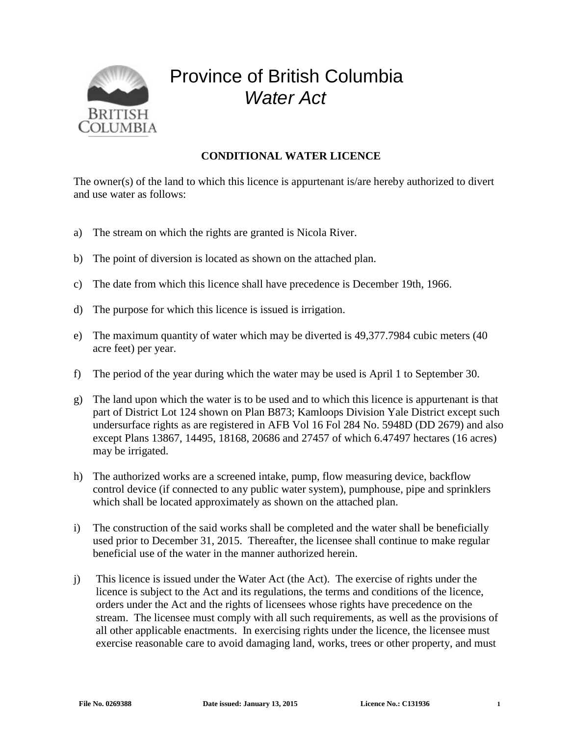

## Province of British Columbia *Water Act*

## **CONDITIONAL WATER LICENCE**

The owner(s) of the land to which this licence is appurtenant is/are hereby authorized to divert and use water as follows:

- a) The stream on which the rights are granted is Nicola River.
- b) The point of diversion is located as shown on the attached plan.
- c) The date from which this licence shall have precedence is December 19th, 1966.
- d) The purpose for which this licence is issued is irrigation.
- e) The maximum quantity of water which may be diverted is 49,377.7984 cubic meters (40 acre feet) per year.
- f) The period of the year during which the water may be used is April 1 to September 30.
- g) The land upon which the water is to be used and to which this licence is appurtenant is that part of District Lot 124 shown on Plan B873; Kamloops Division Yale District except such undersurface rights as are registered in AFB Vol 16 Fol 284 No. 5948D (DD 2679) and also except Plans 13867, 14495, 18168, 20686 and 27457 of which 6.47497 hectares (16 acres) may be irrigated.
- h) The authorized works are a screened intake, pump, flow measuring device, backflow control device (if connected to any public water system), pumphouse, pipe and sprinklers which shall be located approximately as shown on the attached plan.
- i) The construction of the said works shall be completed and the water shall be beneficially used prior to December 31, 2015. Thereafter, the licensee shall continue to make regular beneficial use of the water in the manner authorized herein.
- j) This licence is issued under the Water Act (the Act). The exercise of rights under the licence is subject to the Act and its regulations, the terms and conditions of the licence, orders under the Act and the rights of licensees whose rights have precedence on the stream. The licensee must comply with all such requirements, as well as the provisions of all other applicable enactments. In exercising rights under the licence, the licensee must exercise reasonable care to avoid damaging land, works, trees or other property, and must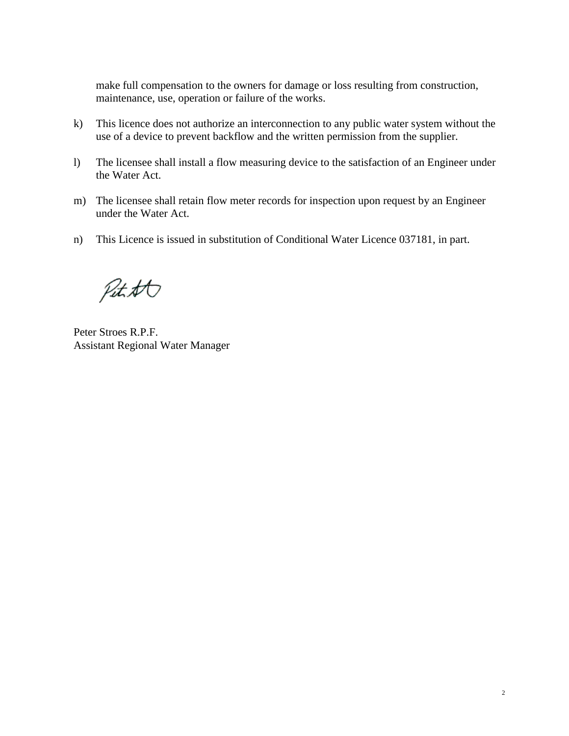make full compensation to the owners for damage or loss resulting from construction, maintenance, use, operation or failure of the works.

- k) This licence does not authorize an interconnection to any public water system without the use of a device to prevent backflow and the written permission from the supplier.
- l) The licensee shall install a flow measuring device to the satisfaction of an Engineer under the Water Act.
- m) The licensee shall retain flow meter records for inspection upon request by an Engineer under the Water Act.
- n) This Licence is issued in substitution of Conditional Water Licence 037181, in part.

Petitt

Peter Stroes R.P.F. Assistant Regional Water Manager